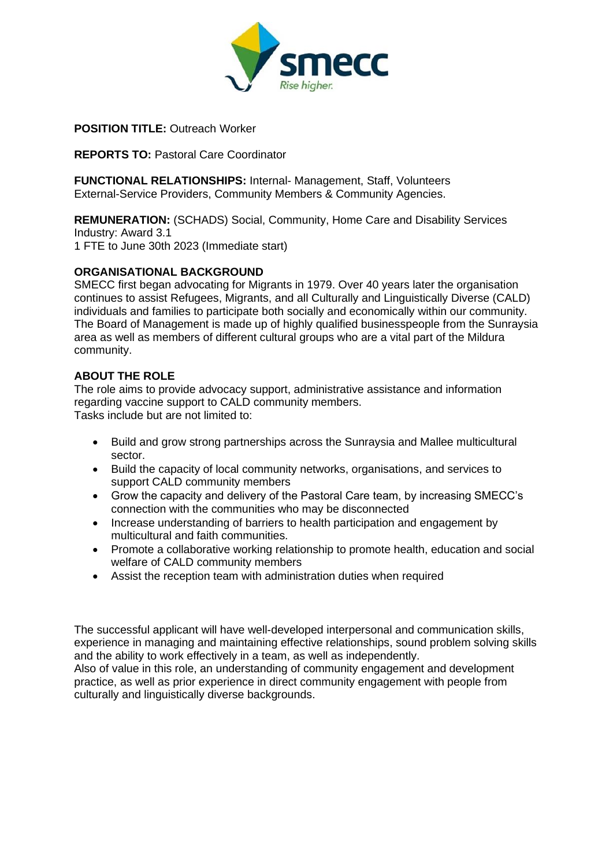

**POSITION TITLE: Outreach Worker** 

#### **REPORTS TO: Pastoral Care Coordinator**

**FUNCTIONAL RELATIONSHIPS:** Internal- Management, Staff, Volunteers External-Service Providers, Community Members & Community Agencies.

**REMUNERATION:** (SCHADS) Social, Community, Home Care and Disability Services Industry: Award 3.1 1 FTE to June 30th 2023 (Immediate start)

### **ORGANISATIONAL BACKGROUND**

SMECC first began advocating for Migrants in 1979. Over 40 years later the organisation continues to assist Refugees, Migrants, and all Culturally and Linguistically Diverse (CALD) individuals and families to participate both socially and economically within our community. The Board of Management is made up of highly qualified businesspeople from the Sunraysia area as well as members of different cultural groups who are a vital part of the Mildura community.

#### **ABOUT THE ROLE**

The role aims to provide advocacy support, administrative assistance and information regarding vaccine support to CALD community members. Tasks include but are not limited to:

- Build and grow strong partnerships across the Sunraysia and Mallee multicultural sector.
- Build the capacity of local community networks, organisations, and services to support CALD community members
- Grow the capacity and delivery of the Pastoral Care team, by increasing SMECC's connection with the communities who may be disconnected
- Increase understanding of barriers to health participation and engagement by multicultural and faith communities.
- Promote a collaborative working relationship to promote health, education and social welfare of CALD community members
- Assist the reception team with administration duties when required

The successful applicant will have well-developed interpersonal and communication skills, experience in managing and maintaining effective relationships, sound problem solving skills and the ability to work effectively in a team, as well as independently.

Also of value in this role, an understanding of community engagement and development practice, as well as prior experience in direct community engagement with people from culturally and linguistically diverse backgrounds.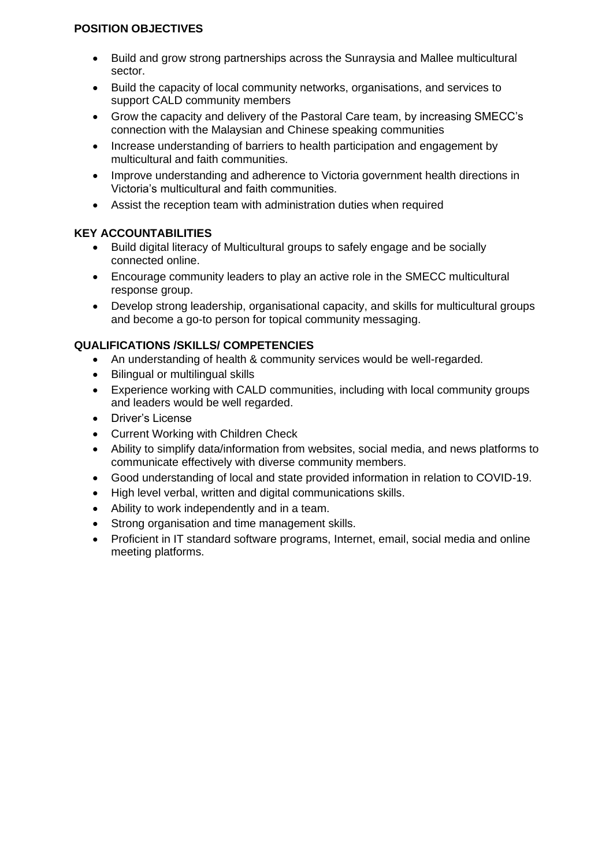# **POSITION OBJECTIVES**

- Build and grow strong partnerships across the Sunraysia and Mallee multicultural sector.
- Build the capacity of local community networks, organisations, and services to support CALD community members
- Grow the capacity and delivery of the Pastoral Care team, by increasing SMECC's connection with the Malaysian and Chinese speaking communities
- Increase understanding of barriers to health participation and engagement by multicultural and faith communities.
- Improve understanding and adherence to Victoria government health directions in Victoria's multicultural and faith communities.
- Assist the reception team with administration duties when required

# **KEY ACCOUNTABILITIES**

- Build digital literacy of Multicultural groups to safely engage and be socially connected online.
- Encourage community leaders to play an active role in the SMECC multicultural response group.
- Develop strong leadership, organisational capacity, and skills for multicultural groups and become a go-to person for topical community messaging.

# **QUALIFICATIONS /SKILLS/ COMPETENCIES**

- An understanding of health & community services would be well-regarded.
- Bilingual or multilingual skills
- Experience working with CALD communities, including with local community groups and leaders would be well regarded.
- Driver's License
- Current Working with Children Check
- Ability to simplify data/information from websites, social media, and news platforms to communicate effectively with diverse community members.
- Good understanding of local and state provided information in relation to COVID-19.
- High level verbal, written and digital communications skills.
- Ability to work independently and in a team.
- Strong organisation and time management skills.
- Proficient in IT standard software programs, Internet, email, social media and online meeting platforms.